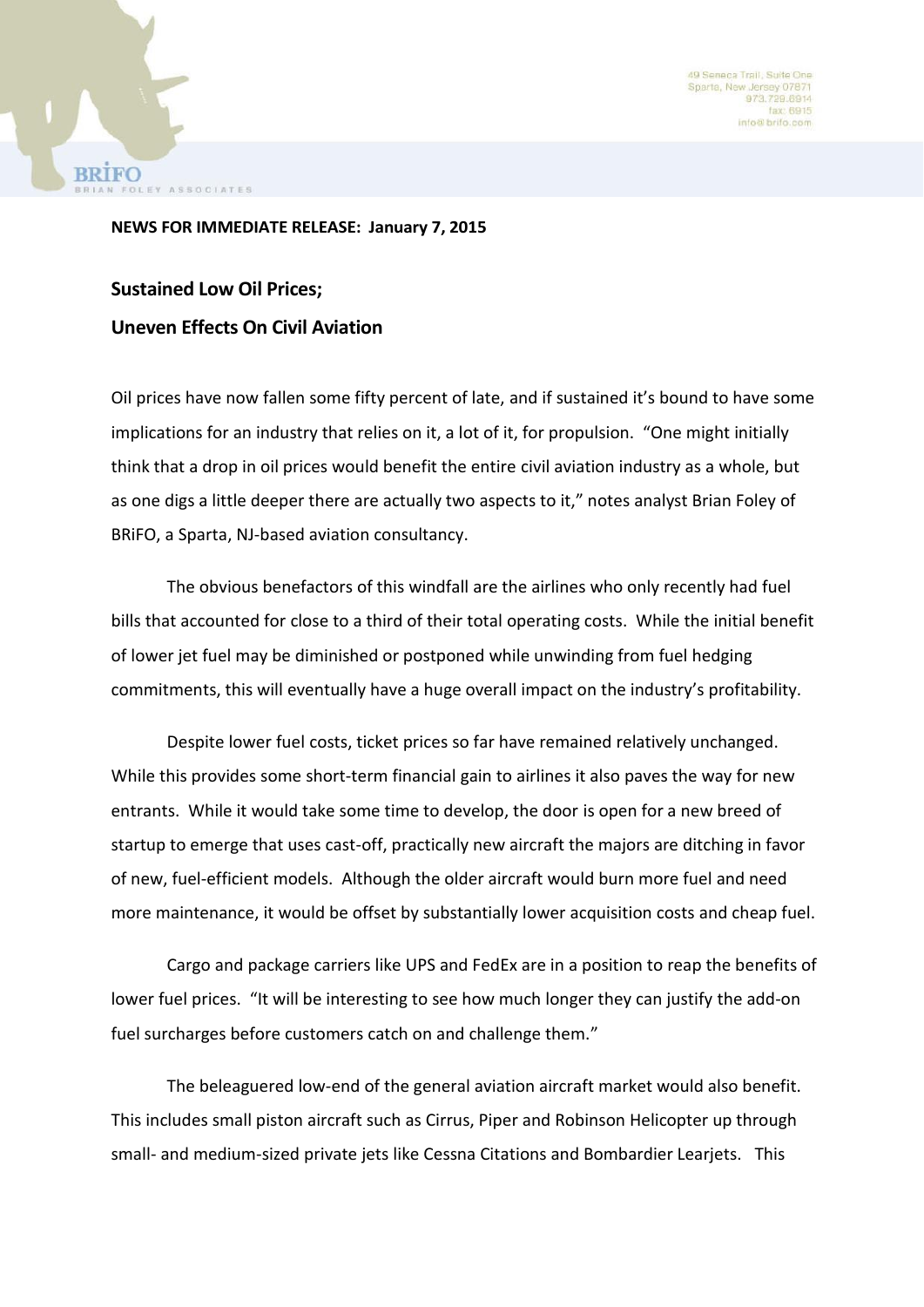49 Seneca Trail, Suite Or Sparta, New Jersey 0787 973.729.6914 fax: 6915 info@brifo.com



**Sustained Low Oil Prices; Uneven Effects On Civil Aviation**

AN FOLEY ASSOCIATES

Oil prices have now fallen some fifty percent of late, and if sustained it's bound to have some implications for an industry that relies on it, a lot of it, for propulsion. "One might initially think that a drop in oil prices would benefit the entire civil aviation industry as a whole, but as one digs a little deeper there are actually two aspects to it," notes analyst Brian Foley of BRiFO, a Sparta, NJ-based aviation consultancy.

The obvious benefactors of this windfall are the airlines who only recently had fuel bills that accounted for close to a third of their total operating costs. While the initial benefit of lower jet fuel may be diminished or postponed while unwinding from fuel hedging commitments, this will eventually have a huge overall impact on the industry's profitability.

Despite lower fuel costs, ticket prices so far have remained relatively unchanged. While this provides some short-term financial gain to airlines it also paves the way for new entrants. While it would take some time to develop, the door is open for a new breed of startup to emerge that uses cast-off, practically new aircraft the majors are ditching in favor of new, fuel-efficient models. Although the older aircraft would burn more fuel and need more maintenance, it would be offset by substantially lower acquisition costs and cheap fuel.

Cargo and package carriers like UPS and FedEx are in a position to reap the benefits of lower fuel prices. "It will be interesting to see how much longer they can justify the add-on fuel surcharges before customers catch on and challenge them."

The beleaguered low-end of the general aviation aircraft market would also benefit. This includes small piston aircraft such as Cirrus, Piper and Robinson Helicopter up through small- and medium-sized private jets like Cessna Citations and Bombardier Learjets. This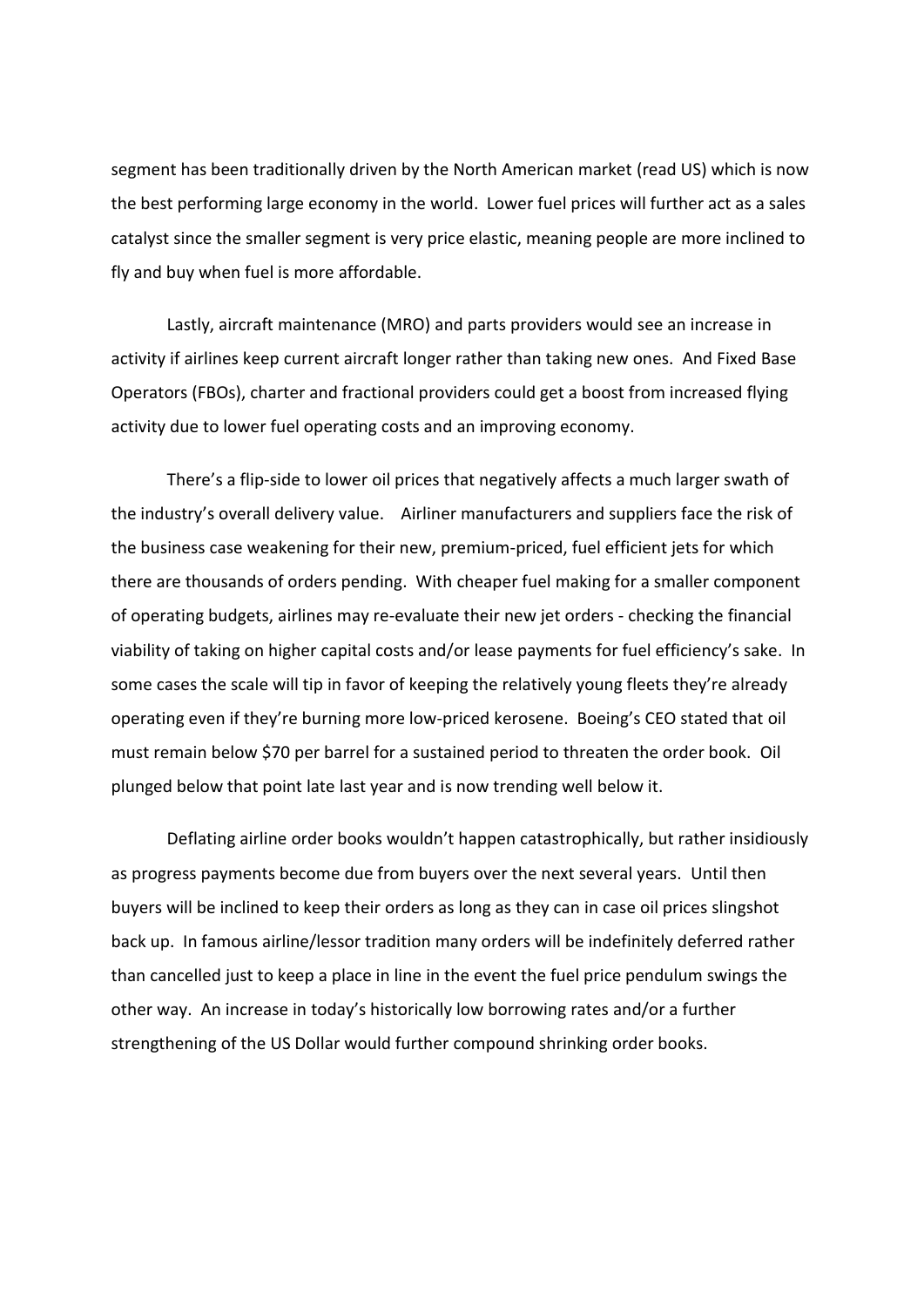segment has been traditionally driven by the North American market (read US) which is now the best performing large economy in the world. Lower fuel prices will further act as a sales catalyst since the smaller segment is very price elastic, meaning people are more inclined to fly and buy when fuel is more affordable.

Lastly, aircraft maintenance (MRO) and parts providers would see an increase in activity if airlines keep current aircraft longer rather than taking new ones. And Fixed Base Operators (FBOs), charter and fractional providers could get a boost from increased flying activity due to lower fuel operating costs and an improving economy.

There's a flip-side to lower oil prices that negatively affects a much larger swath of the industry's overall delivery value. Airliner manufacturers and suppliers face the risk of the business case weakening for their new, premium-priced, fuel efficient jets for which there are thousands of orders pending. With cheaper fuel making for a smaller component of operating budgets, airlines may re-evaluate their new jet orders - checking the financial viability of taking on higher capital costs and/or lease payments for fuel efficiency's sake. In some cases the scale will tip in favor of keeping the relatively young fleets they're already operating even if they're burning more low-priced kerosene. Boeing's CEO stated that oil must remain below \$70 per barrel for a sustained period to threaten the order book. Oil plunged below that point late last year and is now trending well below it.

Deflating airline order books wouldn't happen catastrophically, but rather insidiously as progress payments become due from buyers over the next several years. Until then buyers will be inclined to keep their orders as long as they can in case oil prices slingshot back up. In famous airline/lessor tradition many orders will be indefinitely deferred rather than cancelled just to keep a place in line in the event the fuel price pendulum swings the other way. An increase in today's historically low borrowing rates and/or a further strengthening of the US Dollar would further compound shrinking order books.